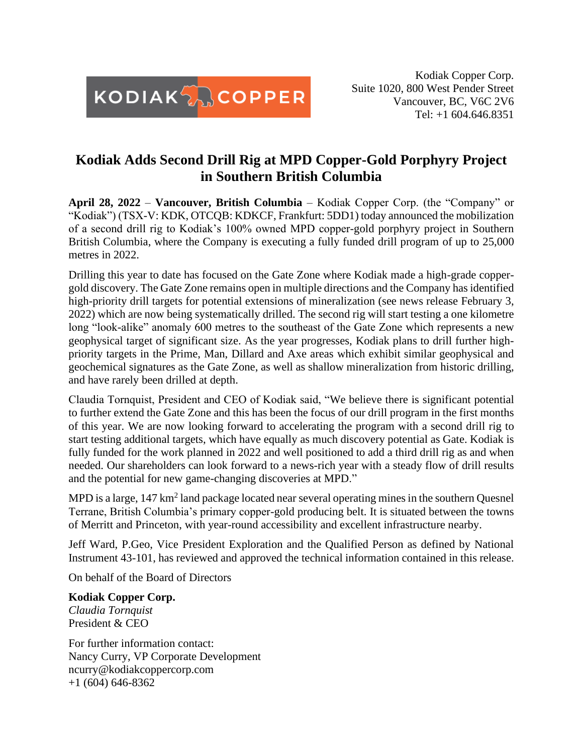

Kodiak Copper Corp. Suite 1020, 800 West Pender Street Vancouver, BC, V6C 2V6 Tel: +1 604.646.8351

## **Kodiak Adds Second Drill Rig at MPD Copper-Gold Porphyry Project in Southern British Columbia**

**April 28, 2022** – **Vancouver, British Columbia** – Kodiak Copper Corp. (the "Company" or "Kodiak") (TSX-V: KDK, OTCQB: KDKCF, Frankfurt: 5DD1) today announced the mobilization of a second drill rig to Kodiak's 100% owned MPD copper-gold porphyry project in Southern British Columbia, where the Company is executing a fully funded drill program of up to 25,000 metres in 2022.

Drilling this year to date has focused on the Gate Zone where Kodiak made a high-grade coppergold discovery. The Gate Zone remains open in multiple directions and the Company has identified high-priority drill targets for potential extensions of mineralization (see news release February 3, 2022) which are now being systematically drilled. The second rig will start testing a one kilometre long "look-alike" anomaly 600 metres to the southeast of the Gate Zone which represents a new geophysical target of significant size. As the year progresses, Kodiak plans to drill further highpriority targets in the Prime, Man, Dillard and Axe areas which exhibit similar geophysical and geochemical signatures as the Gate Zone, as well as shallow mineralization from historic drilling, and have rarely been drilled at depth.

Claudia Tornquist, President and CEO of Kodiak said, "We believe there is significant potential to further extend the Gate Zone and this has been the focus of our drill program in the first months of this year. We are now looking forward to accelerating the program with a second drill rig to start testing additional targets, which have equally as much discovery potential as Gate. Kodiak is fully funded for the work planned in 2022 and well positioned to add a third drill rig as and when needed. Our shareholders can look forward to a news-rich year with a steady flow of drill results and the potential for new game-changing discoveries at MPD."

MPD is a large,  $147 \text{ km}^2$  land package located near several operating mines in the southern Quesnel Terrane, British Columbia's primary copper-gold producing belt. It is situated between the towns of Merritt and Princeton, with year-round accessibility and excellent infrastructure nearby.

Jeff Ward, P.Geo, Vice President Exploration and the Qualified Person as defined by National Instrument 43-101, has reviewed and approved the technical information contained in this release.

On behalf of the Board of Directors

**Kodiak Copper Corp.**

*Claudia Tornquist* President & CEO

For further information contact: Nancy Curry, VP Corporate Development ncurry@kodiakcoppercorp.com  $+1$  (604) 646-8362